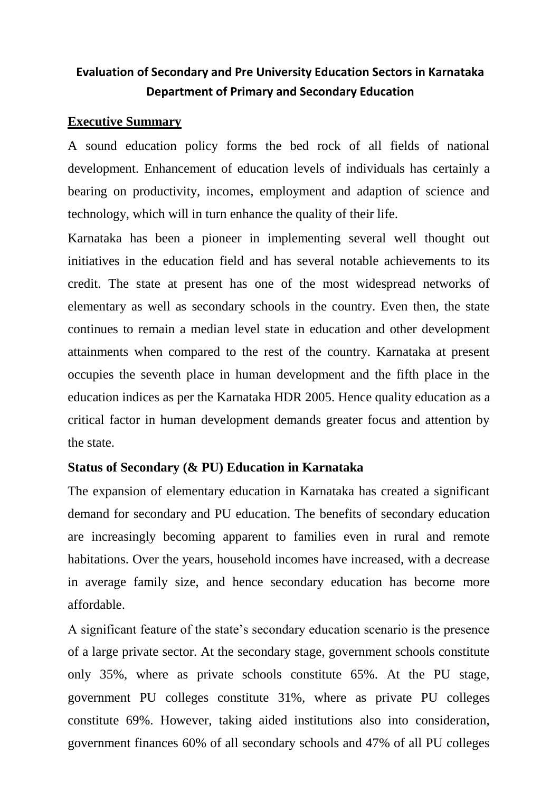# **Evaluation of Secondary and Pre University Education Sectors in Karnataka Department of Primary and Secondary Education**

## **Executive Summary**

A sound education policy forms the bed rock of all fields of national development. Enhancement of education levels of individuals has certainly a bearing on productivity, incomes, employment and adaption of science and technology, which will in turn enhance the quality of their life.

Karnataka has been a pioneer in implementing several well thought out initiatives in the education field and has several notable achievements to its credit. The state at present has one of the most widespread networks of elementary as well as secondary schools in the country. Even then, the state continues to remain a median level state in education and other development attainments when compared to the rest of the country. Karnataka at present occupies the seventh place in human development and the fifth place in the education indices as per the Karnataka HDR 2005. Hence quality education as a critical factor in human development demands greater focus and attention by the state.

## **Status of Secondary (& PU) Education in Karnataka**

The expansion of elementary education in Karnataka has created a significant demand for secondary and PU education. The benefits of secondary education are increasingly becoming apparent to families even in rural and remote habitations. Over the years, household incomes have increased, with a decrease in average family size, and hence secondary education has become more affordable.

A significant feature of the state's secondary education scenario is the presence of a large private sector. At the secondary stage, government schools constitute only 35%, where as private schools constitute 65%. At the PU stage, government PU colleges constitute 31%, where as private PU colleges constitute 69%. However, taking aided institutions also into consideration, government finances 60% of all secondary schools and 47% of all PU colleges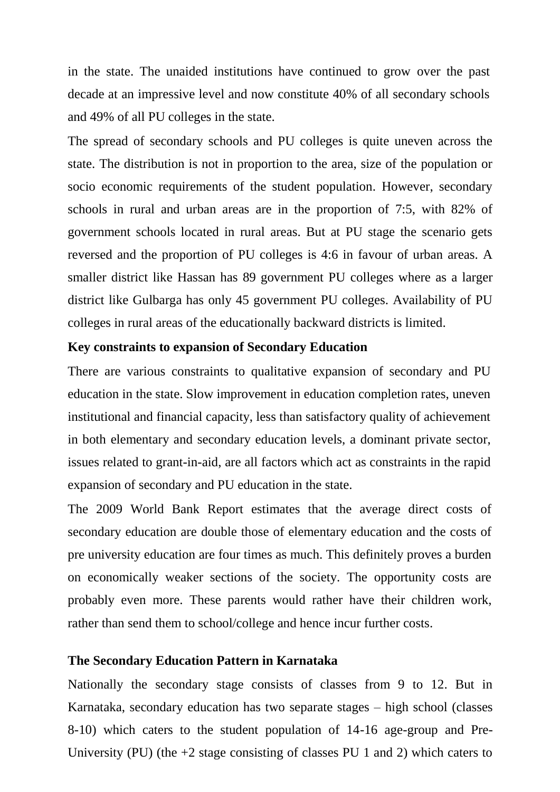in the state. The unaided institutions have continued to grow over the past decade at an impressive level and now constitute 40% of all secondary schools and 49% of all PU colleges in the state.

The spread of secondary schools and PU colleges is quite uneven across the state. The distribution is not in proportion to the area, size of the population or socio economic requirements of the student population. However, secondary schools in rural and urban areas are in the proportion of 7:5, with 82% of government schools located in rural areas. But at PU stage the scenario gets reversed and the proportion of PU colleges is 4:6 in favour of urban areas. A smaller district like Hassan has 89 government PU colleges where as a larger district like Gulbarga has only 45 government PU colleges. Availability of PU colleges in rural areas of the educationally backward districts is limited.

### **Key constraints to expansion of Secondary Education**

There are various constraints to qualitative expansion of secondary and PU education in the state. Slow improvement in education completion rates, uneven institutional and financial capacity, less than satisfactory quality of achievement in both elementary and secondary education levels, a dominant private sector, issues related to grant-in-aid, are all factors which act as constraints in the rapid expansion of secondary and PU education in the state.

The 2009 World Bank Report estimates that the average direct costs of secondary education are double those of elementary education and the costs of pre university education are four times as much. This definitely proves a burden on economically weaker sections of the society. The opportunity costs are probably even more. These parents would rather have their children work, rather than send them to school/college and hence incur further costs.

#### **The Secondary Education Pattern in Karnataka**

Nationally the secondary stage consists of classes from 9 to 12. But in Karnataka, secondary education has two separate stages – high school (classes 8-10) which caters to the student population of 14-16 age-group and Pre-University (PU) (the +2 stage consisting of classes PU 1 and 2) which caters to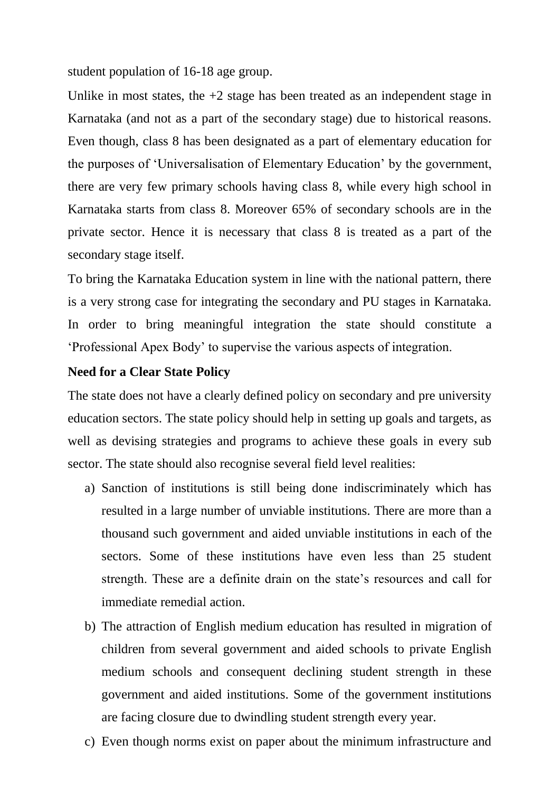student population of 16-18 age group.

Unlike in most states, the  $+2$  stage has been treated as an independent stage in Karnataka (and not as a part of the secondary stage) due to historical reasons. Even though, class 8 has been designated as a part of elementary education for the purposes of 'Universalisation of Elementary Education' by the government, there are very few primary schools having class 8, while every high school in Karnataka starts from class 8. Moreover 65% of secondary schools are in the private sector. Hence it is necessary that class 8 is treated as a part of the secondary stage itself.

To bring the Karnataka Education system in line with the national pattern, there is a very strong case for integrating the secondary and PU stages in Karnataka. In order to bring meaningful integration the state should constitute a 'Professional Apex Body' to supervise the various aspects of integration.

## **Need for a Clear State Policy**

The state does not have a clearly defined policy on secondary and pre university education sectors. The state policy should help in setting up goals and targets, as well as devising strategies and programs to achieve these goals in every sub sector. The state should also recognise several field level realities:

- a) Sanction of institutions is still being done indiscriminately which has resulted in a large number of unviable institutions. There are more than a thousand such government and aided unviable institutions in each of the sectors. Some of these institutions have even less than 25 student strength. These are a definite drain on the state's resources and call for immediate remedial action.
- b) The attraction of English medium education has resulted in migration of children from several government and aided schools to private English medium schools and consequent declining student strength in these government and aided institutions. Some of the government institutions are facing closure due to dwindling student strength every year.
- c) Even though norms exist on paper about the minimum infrastructure and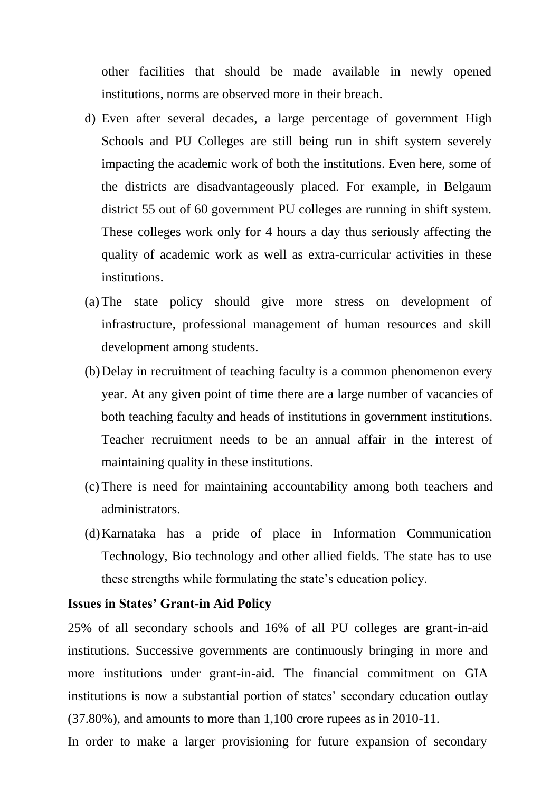other facilities that should be made available in newly opened institutions, norms are observed more in their breach.

- d) Even after several decades, a large percentage of government High Schools and PU Colleges are still being run in shift system severely impacting the academic work of both the institutions. Even here, some of the districts are disadvantageously placed. For example, in Belgaum district 55 out of 60 government PU colleges are running in shift system. These colleges work only for 4 hours a day thus seriously affecting the quality of academic work as well as extra-curricular activities in these institutions.
- (a) The state policy should give more stress on development of infrastructure, professional management of human resources and skill development among students.
- (b)Delay in recruitment of teaching faculty is a common phenomenon every year. At any given point of time there are a large number of vacancies of both teaching faculty and heads of institutions in government institutions. Teacher recruitment needs to be an annual affair in the interest of maintaining quality in these institutions.
- (c) There is need for maintaining accountability among both teachers and administrators.
- (d)Karnataka has a pride of place in Information Communication Technology, Bio technology and other allied fields. The state has to use these strengths while formulating the state's education policy.

### **Issues in States' Grant-in Aid Policy**

25% of all secondary schools and 16% of all PU colleges are grant-in-aid institutions. Successive governments are continuously bringing in more and more institutions under grant-in-aid. The financial commitment on GIA institutions is now a substantial portion of states' secondary education outlay (37.80%), and amounts to more than 1,100 crore rupees as in 2010-11.

In order to make a larger provisioning for future expansion of secondary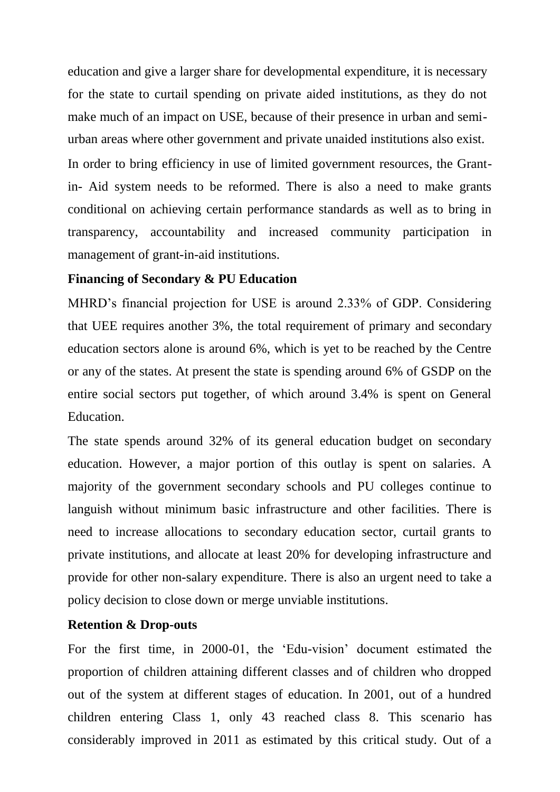education and give a larger share for developmental expenditure, it is necessary for the state to curtail spending on private aided institutions, as they do not make much of an impact on USE, because of their presence in urban and semiurban areas where other government and private unaided institutions also exist.

In order to bring efficiency in use of limited government resources, the Grantin- Aid system needs to be reformed. There is also a need to make grants conditional on achieving certain performance standards as well as to bring in transparency, accountability and increased community participation in management of grant-in-aid institutions.

### **Financing of Secondary & PU Education**

MHRD's financial projection for USE is around 2.33% of GDP. Considering that UEE requires another 3%, the total requirement of primary and secondary education sectors alone is around 6%, which is yet to be reached by the Centre or any of the states. At present the state is spending around 6% of GSDP on the entire social sectors put together, of which around 3.4% is spent on General Education.

The state spends around 32% of its general education budget on secondary education. However, a major portion of this outlay is spent on salaries. A majority of the government secondary schools and PU colleges continue to languish without minimum basic infrastructure and other facilities. There is need to increase allocations to secondary education sector, curtail grants to private institutions, and allocate at least 20% for developing infrastructure and provide for other non-salary expenditure. There is also an urgent need to take a policy decision to close down or merge unviable institutions.

### **Retention & Drop-outs**

For the first time, in 2000-01, the 'Edu-vision' document estimated the proportion of children attaining different classes and of children who dropped out of the system at different stages of education. In 2001, out of a hundred children entering Class 1, only 43 reached class 8. This scenario has considerably improved in 2011 as estimated by this critical study. Out of a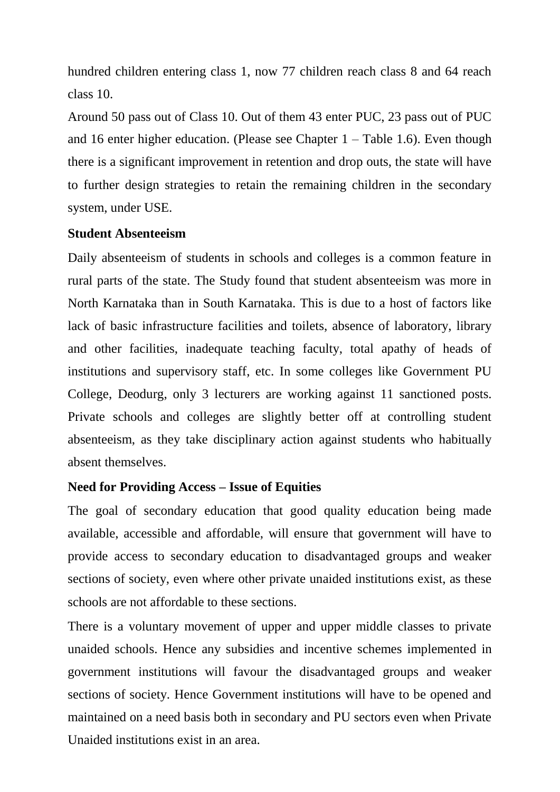hundred children entering class 1, now 77 children reach class 8 and 64 reach class 10.

Around 50 pass out of Class 10. Out of them 43 enter PUC, 23 pass out of PUC and 16 enter higher education. (Please see Chapter 1 – Table 1.6). Even though there is a significant improvement in retention and drop outs, the state will have to further design strategies to retain the remaining children in the secondary system, under USE.

## **Student Absenteeism**

Daily absenteeism of students in schools and colleges is a common feature in rural parts of the state. The Study found that student absenteeism was more in North Karnataka than in South Karnataka. This is due to a host of factors like lack of basic infrastructure facilities and toilets, absence of laboratory, library and other facilities, inadequate teaching faculty, total apathy of heads of institutions and supervisory staff, etc. In some colleges like Government PU College, Deodurg, only 3 lecturers are working against 11 sanctioned posts. Private schools and colleges are slightly better off at controlling student absenteeism, as they take disciplinary action against students who habitually absent themselves.

## **Need for Providing Access – Issue of Equities**

The goal of secondary education that good quality education being made available, accessible and affordable, will ensure that government will have to provide access to secondary education to disadvantaged groups and weaker sections of society, even where other private unaided institutions exist, as these schools are not affordable to these sections.

There is a voluntary movement of upper and upper middle classes to private unaided schools. Hence any subsidies and incentive schemes implemented in government institutions will favour the disadvantaged groups and weaker sections of society. Hence Government institutions will have to be opened and maintained on a need basis both in secondary and PU sectors even when Private Unaided institutions exist in an area.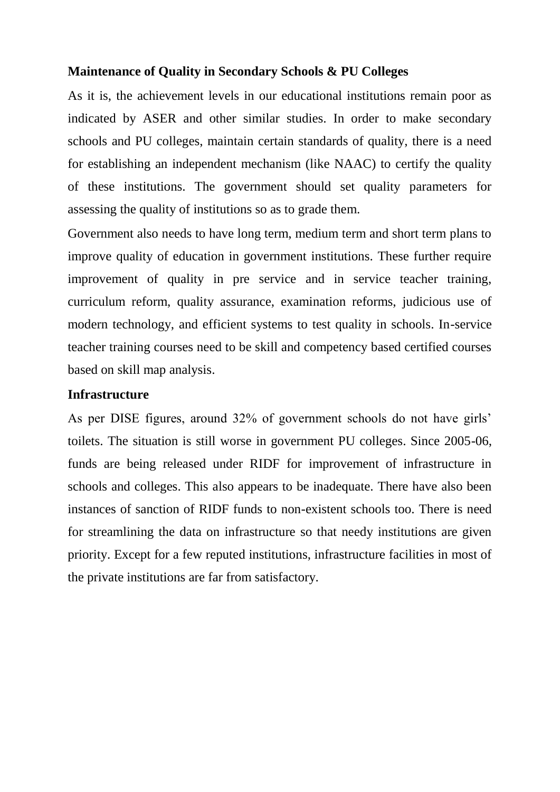## **Maintenance of Quality in Secondary Schools & PU Colleges**

As it is, the achievement levels in our educational institutions remain poor as indicated by ASER and other similar studies. In order to make secondary schools and PU colleges, maintain certain standards of quality, there is a need for establishing an independent mechanism (like NAAC) to certify the quality of these institutions. The government should set quality parameters for assessing the quality of institutions so as to grade them.

Government also needs to have long term, medium term and short term plans to improve quality of education in government institutions. These further require improvement of quality in pre service and in service teacher training, curriculum reform, quality assurance, examination reforms, judicious use of modern technology, and efficient systems to test quality in schools. In-service teacher training courses need to be skill and competency based certified courses based on skill map analysis.

## **Infrastructure**

As per DISE figures, around 32% of government schools do not have girls' toilets. The situation is still worse in government PU colleges. Since 2005-06, funds are being released under RIDF for improvement of infrastructure in schools and colleges. This also appears to be inadequate. There have also been instances of sanction of RIDF funds to non-existent schools too. There is need for streamlining the data on infrastructure so that needy institutions are given priority. Except for a few reputed institutions, infrastructure facilities in most of the private institutions are far from satisfactory.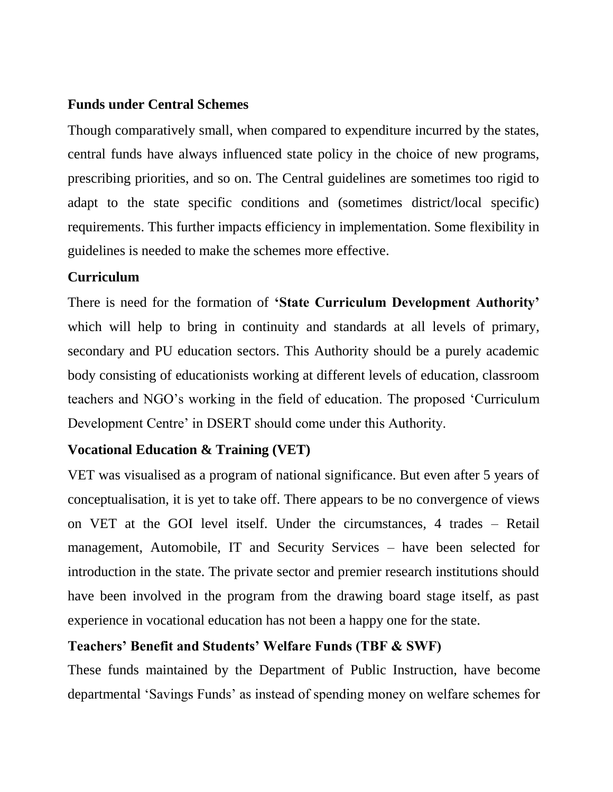## **Funds under Central Schemes**

Though comparatively small, when compared to expenditure incurred by the states, central funds have always influenced state policy in the choice of new programs, prescribing priorities, and so on. The Central guidelines are sometimes too rigid to adapt to the state specific conditions and (sometimes district/local specific) requirements. This further impacts efficiency in implementation. Some flexibility in guidelines is needed to make the schemes more effective.

## **Curriculum**

There is need for the formation of **'State Curriculum Development Authority'** which will help to bring in continuity and standards at all levels of primary, secondary and PU education sectors. This Authority should be a purely academic body consisting of educationists working at different levels of education, classroom teachers and NGO's working in the field of education. The proposed 'Curriculum Development Centre' in DSERT should come under this Authority.

## **Vocational Education & Training (VET)**

VET was visualised as a program of national significance. But even after 5 years of conceptualisation, it is yet to take off. There appears to be no convergence of views on VET at the GOI level itself. Under the circumstances, 4 trades – Retail management, Automobile, IT and Security Services – have been selected for introduction in the state. The private sector and premier research institutions should have been involved in the program from the drawing board stage itself, as past experience in vocational education has not been a happy one for the state.

## **Teachers' Benefit and Students' Welfare Funds (TBF & SWF)**

These funds maintained by the Department of Public Instruction, have become departmental 'Savings Funds' as instead of spending money on welfare schemes for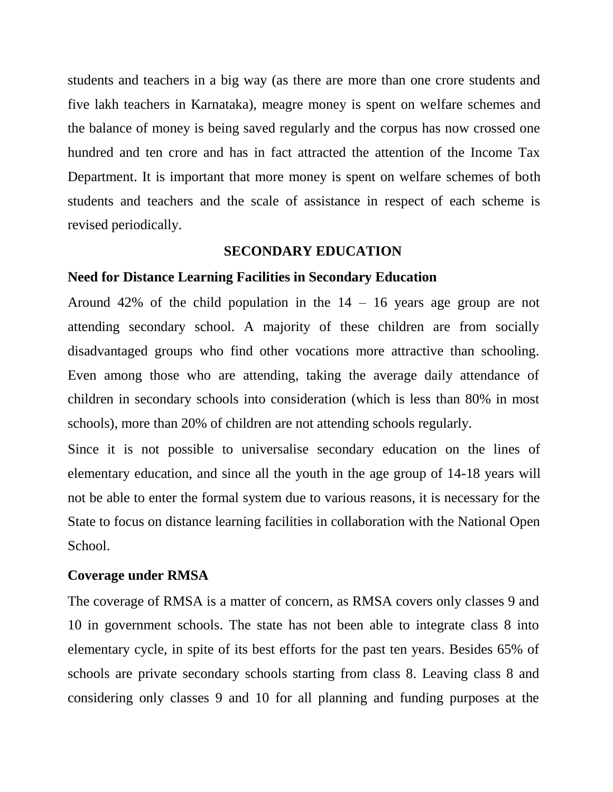students and teachers in a big way (as there are more than one crore students and five lakh teachers in Karnataka), meagre money is spent on welfare schemes and the balance of money is being saved regularly and the corpus has now crossed one hundred and ten crore and has in fact attracted the attention of the Income Tax Department. It is important that more money is spent on welfare schemes of both students and teachers and the scale of assistance in respect of each scheme is revised periodically.

### **SECONDARY EDUCATION**

#### **Need for Distance Learning Facilities in Secondary Education**

Around 42% of the child population in the  $14 - 16$  years age group are not attending secondary school. A majority of these children are from socially disadvantaged groups who find other vocations more attractive than schooling. Even among those who are attending, taking the average daily attendance of children in secondary schools into consideration (which is less than 80% in most schools), more than 20% of children are not attending schools regularly.

Since it is not possible to universalise secondary education on the lines of elementary education, and since all the youth in the age group of 14-18 years will not be able to enter the formal system due to various reasons, it is necessary for the State to focus on distance learning facilities in collaboration with the National Open School.

## **Coverage under RMSA**

The coverage of RMSA is a matter of concern, as RMSA covers only classes 9 and 10 in government schools. The state has not been able to integrate class 8 into elementary cycle, in spite of its best efforts for the past ten years. Besides 65% of schools are private secondary schools starting from class 8. Leaving class 8 and considering only classes 9 and 10 for all planning and funding purposes at the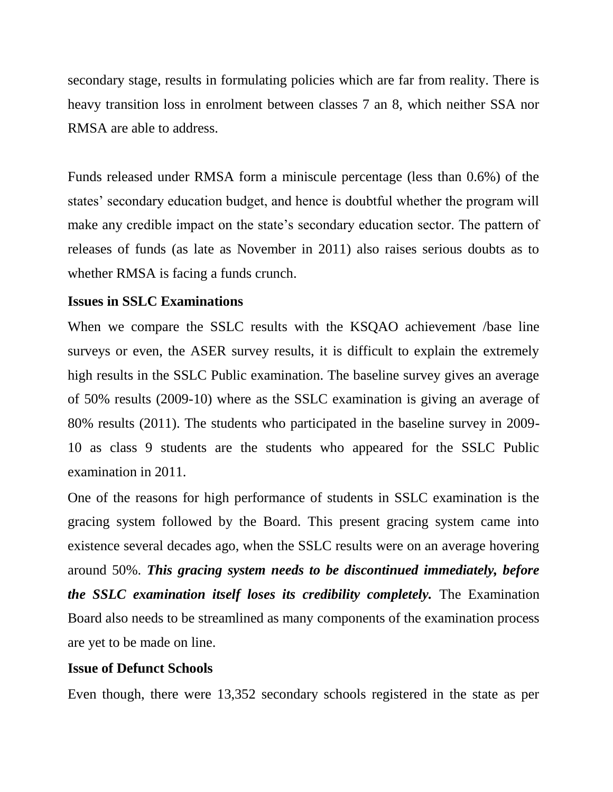secondary stage, results in formulating policies which are far from reality. There is heavy transition loss in enrolment between classes 7 an 8, which neither SSA nor RMSA are able to address.

Funds released under RMSA form a miniscule percentage (less than 0.6%) of the states' secondary education budget, and hence is doubtful whether the program will make any credible impact on the state's secondary education sector. The pattern of releases of funds (as late as November in 2011) also raises serious doubts as to whether RMSA is facing a funds crunch.

### **Issues in SSLC Examinations**

When we compare the SSLC results with the KSQAO achievement /base line surveys or even, the ASER survey results, it is difficult to explain the extremely high results in the SSLC Public examination. The baseline survey gives an average of 50% results (2009-10) where as the SSLC examination is giving an average of 80% results (2011). The students who participated in the baseline survey in 2009- 10 as class 9 students are the students who appeared for the SSLC Public examination in 2011.

One of the reasons for high performance of students in SSLC examination is the gracing system followed by the Board. This present gracing system came into existence several decades ago, when the SSLC results were on an average hovering around 50%. *This gracing system needs to be discontinued immediately, before the SSLC examination itself loses its credibility completely.* The Examination Board also needs to be streamlined as many components of the examination process are yet to be made on line.

#### **Issue of Defunct Schools**

Even though, there were 13,352 secondary schools registered in the state as per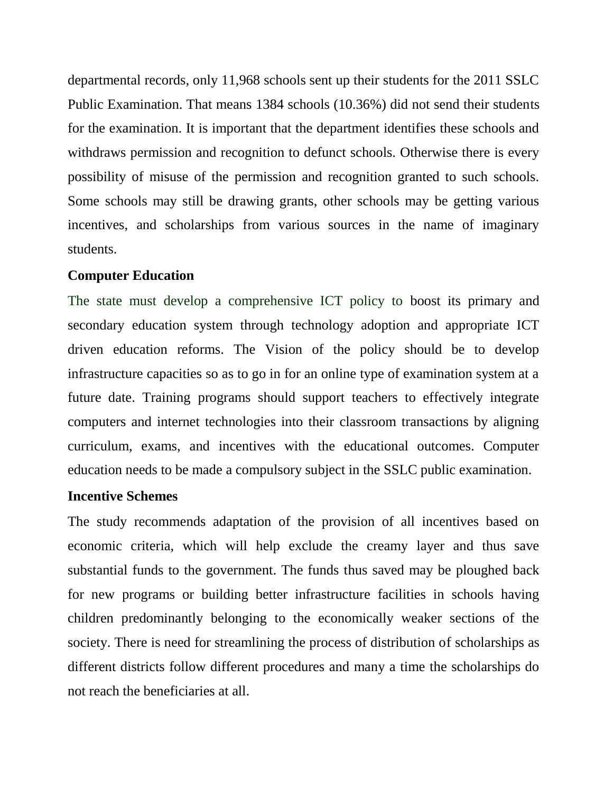departmental records, only 11,968 schools sent up their students for the 2011 SSLC Public Examination. That means 1384 schools (10.36%) did not send their students for the examination. It is important that the department identifies these schools and withdraws permission and recognition to defunct schools. Otherwise there is every possibility of misuse of the permission and recognition granted to such schools. Some schools may still be drawing grants, other schools may be getting various incentives, and scholarships from various sources in the name of imaginary students.

### **Computer Education**

The state must develop a comprehensive ICT policy to boost its primary and secondary education system through technology adoption and appropriate ICT driven education reforms. The Vision of the policy should be to develop infrastructure capacities so as to go in for an online type of examination system at a future date. Training programs should support teachers to effectively integrate computers and internet technologies into their classroom transactions by aligning curriculum, exams, and incentives with the educational outcomes. Computer education needs to be made a compulsory subject in the SSLC public examination.

## **Incentive Schemes**

The study recommends adaptation of the provision of all incentives based on economic criteria, which will help exclude the creamy layer and thus save substantial funds to the government. The funds thus saved may be ploughed back for new programs or building better infrastructure facilities in schools having children predominantly belonging to the economically weaker sections of the society. There is need for streamlining the process of distribution of scholarships as different districts follow different procedures and many a time the scholarships do not reach the beneficiaries at all.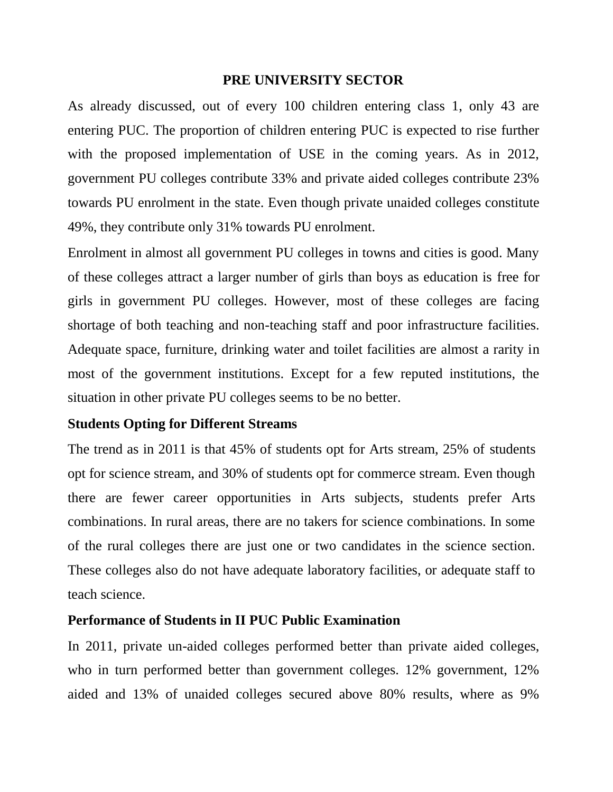### **PRE UNIVERSITY SECTOR**

As already discussed, out of every 100 children entering class 1, only 43 are entering PUC. The proportion of children entering PUC is expected to rise further with the proposed implementation of USE in the coming years. As in 2012, government PU colleges contribute 33% and private aided colleges contribute 23% towards PU enrolment in the state. Even though private unaided colleges constitute 49%, they contribute only 31% towards PU enrolment.

Enrolment in almost all government PU colleges in towns and cities is good. Many of these colleges attract a larger number of girls than boys as education is free for girls in government PU colleges. However, most of these colleges are facing shortage of both teaching and non-teaching staff and poor infrastructure facilities. Adequate space, furniture, drinking water and toilet facilities are almost a rarity in most of the government institutions. Except for a few reputed institutions, the situation in other private PU colleges seems to be no better.

## **Students Opting for Different Streams**

The trend as in 2011 is that 45% of students opt for Arts stream, 25% of students opt for science stream, and 30% of students opt for commerce stream. Even though there are fewer career opportunities in Arts subjects, students prefer Arts combinations. In rural areas, there are no takers for science combinations. In some of the rural colleges there are just one or two candidates in the science section. These colleges also do not have adequate laboratory facilities, or adequate staff to teach science.

## **Performance of Students in II PUC Public Examination**

In 2011, private un-aided colleges performed better than private aided colleges, who in turn performed better than government colleges. 12% government, 12% aided and 13% of unaided colleges secured above 80% results, where as 9%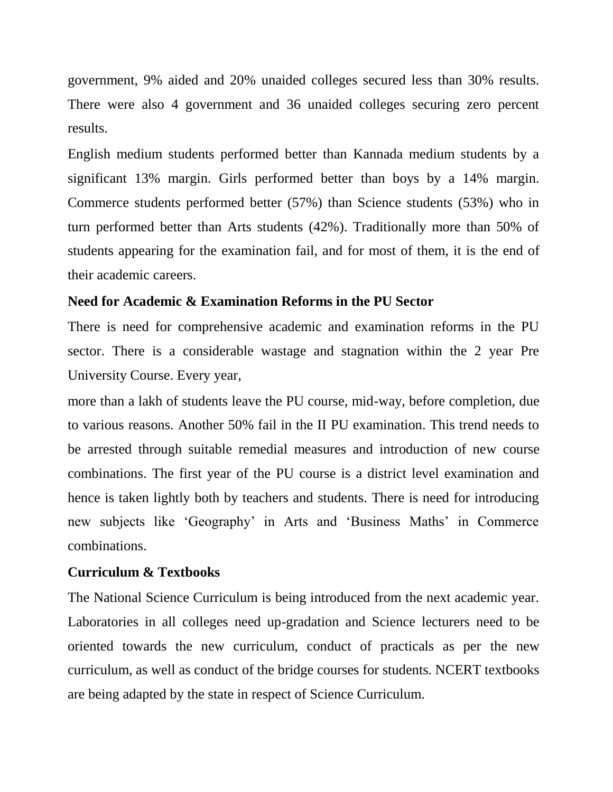government, 9% aided and 20% unaided colleges secured less than 30% results. There were also 4 government and 36 unaided colleges securing zero percent results.

English medium students performed better than Kannada medium students by a significant 13% margin. Girls performed better than boys by a 14% margin. Commerce students performed better (57%) than Science students (53%) who in turn performed better than Arts students (42%). Traditionally more than 50% of students appearing for the examination fail, and for most of them, it is the end of their academic careers.

### **Need for Academic & Examination Reforms in the PU Sector**

There is need for comprehensive academic and examination reforms in the PU sector. There is a considerable wastage and stagnation within the 2 year Pre University Course. Every year,

more than a lakh of students leave the PU course, mid-way, before completion, due to various reasons. Another 50% fail in the II PU examination. This trend needs to be arrested through suitable remedial measures and introduction of new course combinations. The first year of the PU course is a district level examination and hence is taken lightly both by teachers and students. There is need for introducing new subjects like 'Geography' in Arts and 'Business Maths' in Commerce combinations.

### **Curriculum & Textbooks**

The National Science Curriculum is being introduced from the next academic year. Laboratories in all colleges need up-gradation and Science lecturers need to be oriented towards the new curriculum, conduct of practicals as per the new curriculum, as well as conduct of the bridge courses for students. NCERT textbooks are being adapted by the state in respect of Science Curriculum.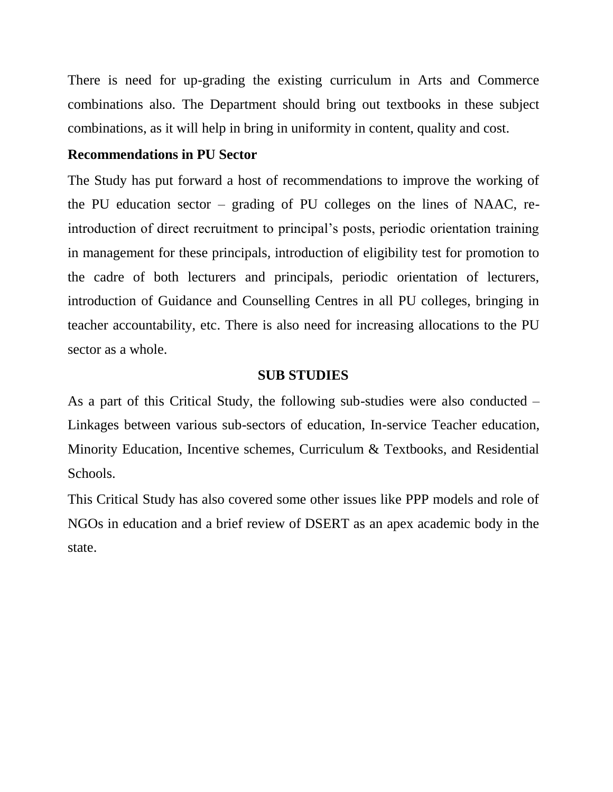There is need for up-grading the existing curriculum in Arts and Commerce combinations also. The Department should bring out textbooks in these subject combinations, as it will help in bring in uniformity in content, quality and cost.

## **Recommendations in PU Sector**

The Study has put forward a host of recommendations to improve the working of the PU education sector – grading of PU colleges on the lines of NAAC, reintroduction of direct recruitment to principal's posts, periodic orientation training in management for these principals, introduction of eligibility test for promotion to the cadre of both lecturers and principals, periodic orientation of lecturers, introduction of Guidance and Counselling Centres in all PU colleges, bringing in teacher accountability, etc. There is also need for increasing allocations to the PU sector as a whole.

## **SUB STUDIES**

As a part of this Critical Study, the following sub-studies were also conducted – Linkages between various sub-sectors of education, In-service Teacher education, Minority Education, Incentive schemes, Curriculum & Textbooks, and Residential Schools.

This Critical Study has also covered some other issues like PPP models and role of NGOs in education and a brief review of DSERT as an apex academic body in the state.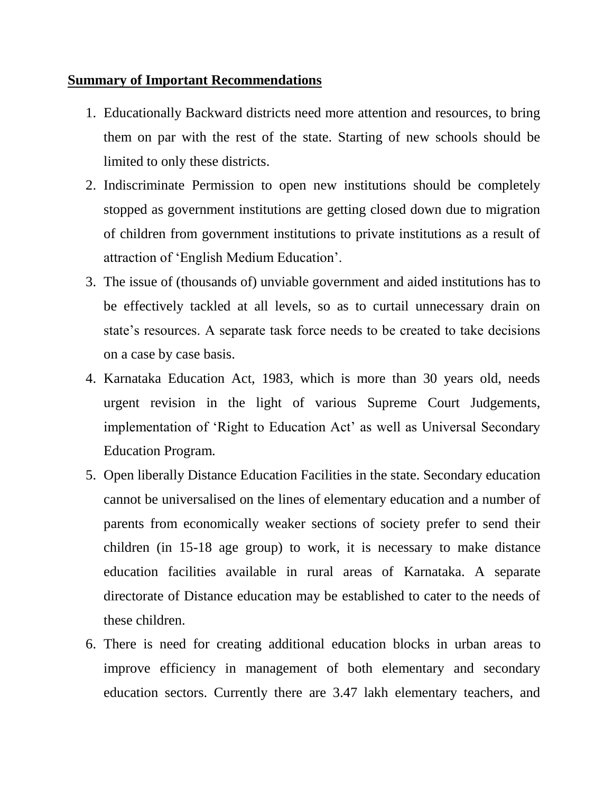## **Summary of Important Recommendations**

- 1. Educationally Backward districts need more attention and resources, to bring them on par with the rest of the state. Starting of new schools should be limited to only these districts.
- 2. Indiscriminate Permission to open new institutions should be completely stopped as government institutions are getting closed down due to migration of children from government institutions to private institutions as a result of attraction of 'English Medium Education'.
- 3. The issue of (thousands of) unviable government and aided institutions has to be effectively tackled at all levels, so as to curtail unnecessary drain on state's resources. A separate task force needs to be created to take decisions on a case by case basis.
- 4. Karnataka Education Act, 1983, which is more than 30 years old, needs urgent revision in the light of various Supreme Court Judgements, implementation of 'Right to Education Act' as well as Universal Secondary Education Program.
- 5. Open liberally Distance Education Facilities in the state. Secondary education cannot be universalised on the lines of elementary education and a number of parents from economically weaker sections of society prefer to send their children (in 15-18 age group) to work, it is necessary to make distance education facilities available in rural areas of Karnataka. A separate directorate of Distance education may be established to cater to the needs of these children.
- 6. There is need for creating additional education blocks in urban areas to improve efficiency in management of both elementary and secondary education sectors. Currently there are 3.47 lakh elementary teachers, and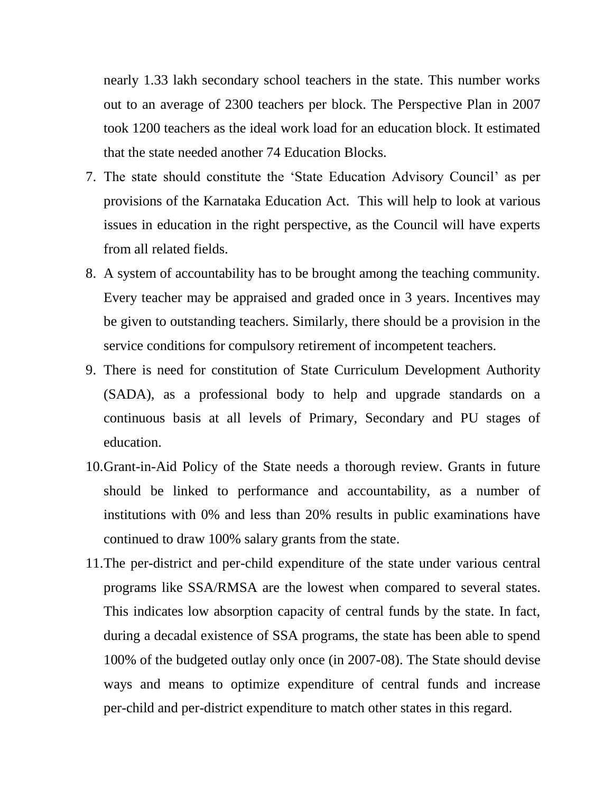nearly 1.33 lakh secondary school teachers in the state. This number works out to an average of 2300 teachers per block. The Perspective Plan in 2007 took 1200 teachers as the ideal work load for an education block. It estimated that the state needed another 74 Education Blocks.

- 7. The state should constitute the 'State Education Advisory Council' as per provisions of the Karnataka Education Act. This will help to look at various issues in education in the right perspective, as the Council will have experts from all related fields.
- 8. A system of accountability has to be brought among the teaching community. Every teacher may be appraised and graded once in 3 years. Incentives may be given to outstanding teachers. Similarly, there should be a provision in the service conditions for compulsory retirement of incompetent teachers.
- 9. There is need for constitution of State Curriculum Development Authority (SADA), as a professional body to help and upgrade standards on a continuous basis at all levels of Primary, Secondary and PU stages of education.
- 10.Grant-in-Aid Policy of the State needs a thorough review. Grants in future should be linked to performance and accountability, as a number of institutions with 0% and less than 20% results in public examinations have continued to draw 100% salary grants from the state.
- 11.The per-district and per-child expenditure of the state under various central programs like SSA/RMSA are the lowest when compared to several states. This indicates low absorption capacity of central funds by the state. In fact, during a decadal existence of SSA programs, the state has been able to spend 100% of the budgeted outlay only once (in 2007-08). The State should devise ways and means to optimize expenditure of central funds and increase per-child and per-district expenditure to match other states in this regard.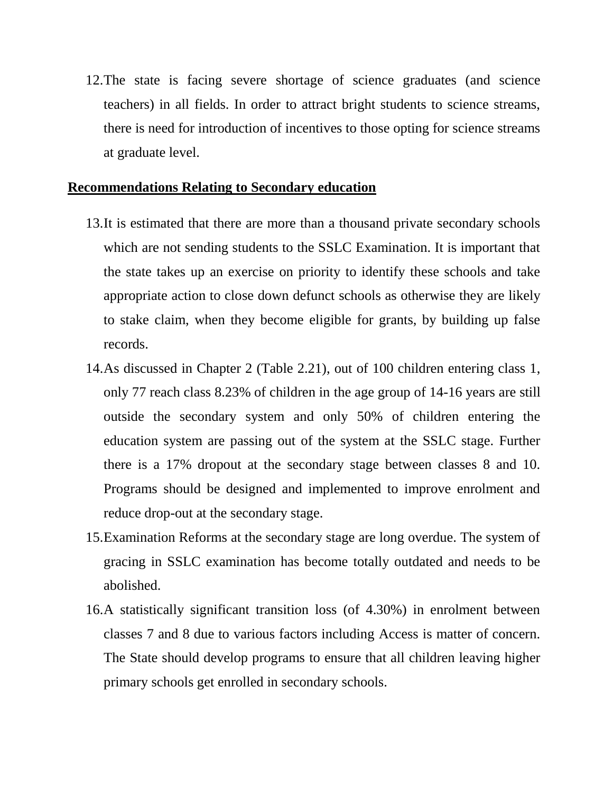12.The state is facing severe shortage of science graduates (and science teachers) in all fields. In order to attract bright students to science streams, there is need for introduction of incentives to those opting for science streams at graduate level.

## **Recommendations Relating to Secondary education**

- 13.It is estimated that there are more than a thousand private secondary schools which are not sending students to the SSLC Examination. It is important that the state takes up an exercise on priority to identify these schools and take appropriate action to close down defunct schools as otherwise they are likely to stake claim, when they become eligible for grants, by building up false records.
- 14.As discussed in Chapter 2 (Table 2.21), out of 100 children entering class 1, only 77 reach class 8.23% of children in the age group of 14-16 years are still outside the secondary system and only 50% of children entering the education system are passing out of the system at the SSLC stage. Further there is a 17% dropout at the secondary stage between classes 8 and 10. Programs should be designed and implemented to improve enrolment and reduce drop-out at the secondary stage.
- 15.Examination Reforms at the secondary stage are long overdue. The system of gracing in SSLC examination has become totally outdated and needs to be abolished.
- 16.A statistically significant transition loss (of 4.30%) in enrolment between classes 7 and 8 due to various factors including Access is matter of concern. The State should develop programs to ensure that all children leaving higher primary schools get enrolled in secondary schools.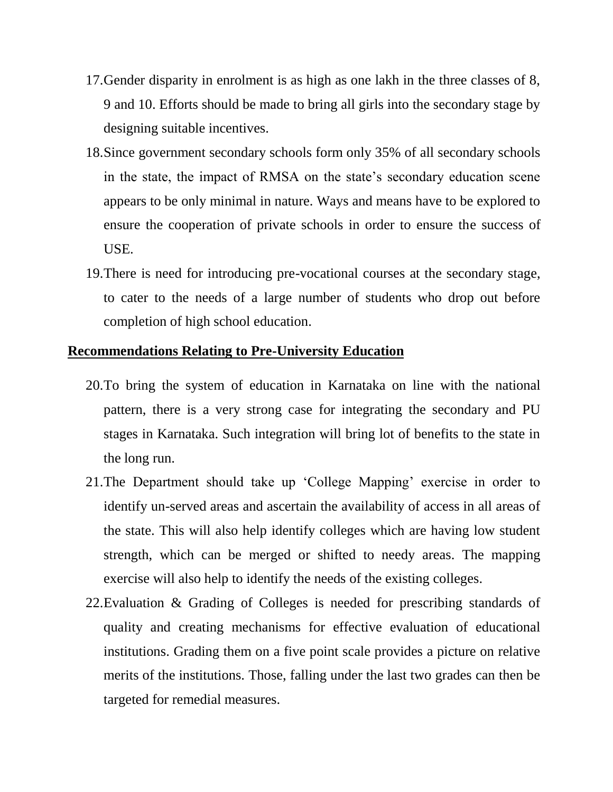- 17.Gender disparity in enrolment is as high as one lakh in the three classes of 8, 9 and 10. Efforts should be made to bring all girls into the secondary stage by designing suitable incentives.
- 18.Since government secondary schools form only 35% of all secondary schools in the state, the impact of RMSA on the state's secondary education scene appears to be only minimal in nature. Ways and means have to be explored to ensure the cooperation of private schools in order to ensure the success of USE.
- 19.There is need for introducing pre-vocational courses at the secondary stage, to cater to the needs of a large number of students who drop out before completion of high school education.

#### **Recommendations Relating to Pre-University Education**

- 20.To bring the system of education in Karnataka on line with the national pattern, there is a very strong case for integrating the secondary and PU stages in Karnataka. Such integration will bring lot of benefits to the state in the long run.
- 21.The Department should take up 'College Mapping' exercise in order to identify un-served areas and ascertain the availability of access in all areas of the state. This will also help identify colleges which are having low student strength, which can be merged or shifted to needy areas. The mapping exercise will also help to identify the needs of the existing colleges.
- 22.Evaluation & Grading of Colleges is needed for prescribing standards of quality and creating mechanisms for effective evaluation of educational institutions. Grading them on a five point scale provides a picture on relative merits of the institutions. Those, falling under the last two grades can then be targeted for remedial measures.